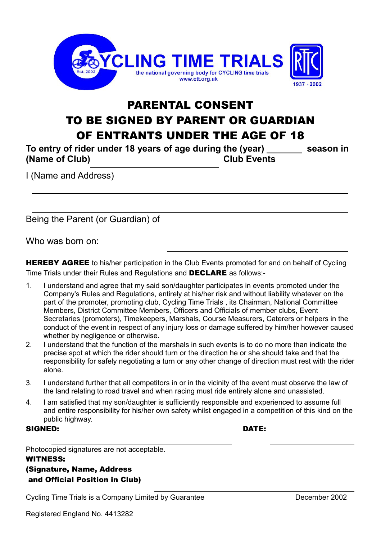

## PARENTAL CONSENT TO BE SIGNED BY PARENT OR GUARDIAN OF ENTRANTS UNDER THE AGE OF 18

**To entry of rider under 18 years of age during the (year) \_\_\_\_\_\_\_ season in (Name of Club) Club Events**

I (Name and Address)

Being the Parent (or Guardian) of

Who was born on:

**HEREBY AGREE** to his/her participation in the Club Events promoted for and on behalf of Cycling Time Trials under their Rules and Regulations and DECLARE as follows:-

- 1. I understand and agree that my said son/daughter participates in events promoted under the Company's Rules and Regulations, entirely at his/her risk and without liability whatever on the part of the promoter, promoting club, Cycling Time Trials , its Chairman, National Committee Members, District Committee Members, Officers and Officials of member clubs, Event Secretaries (promoters), Timekeepers, Marshals, Course Measurers, Caterers or helpers in the conduct of the event in respect of any injury loss or damage suffered by him/her however caused whether by negligence or otherwise.
- 2. I understand that the function of the marshals in such events is to do no more than indicate the precise spot at which the rider should turn or the direction he or she should take and that the responsibility for safely negotiating a turn or any other change of direction must rest with the rider alone.
- 3. I understand further that all competitors in or in the vicinity of the event must observe the law of the land relating to road travel and when racing must ride entirely alone and unassisted.
- 4. I am satisfied that my son/daughter is sufficiently responsible and experienced to assume full and entire responsibility for his/her own safety whilst engaged in a competition of this kind on the public highway.

## SIGNED: DATE:

Photocopied signatures are not acceptable.

WITNESS: (Signature, Name, Address and Official Position in Club)

Cycling Time Trials is a Company Limited by Guarantee **December 2002**